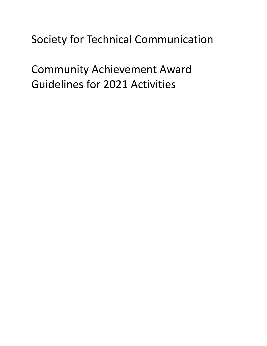# Society for Technical Communication

Community Achievement Award Guidelines for 2021 Activities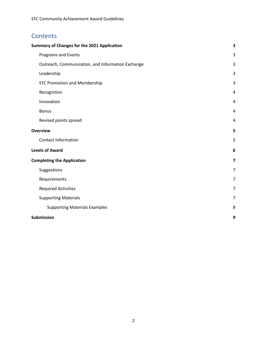# **Contents**

| <b>Summary of Changes for the 2021 Application</b> | 3                       |
|----------------------------------------------------|-------------------------|
| Programs and Events                                | $\overline{3}$          |
| Outreach, Communication, and Information Exchange  | 3                       |
| Leadership                                         | $\overline{3}$          |
| <b>STC Promotion and Membership</b>                | 3                       |
| Recognition                                        | 4                       |
| Innovation                                         | 4                       |
| <b>Bonus</b>                                       | 4                       |
| Revised points spread                              | 4                       |
| <b>Overview</b>                                    | 5                       |
| <b>Contact Information</b>                         | 5                       |
| <b>Levels of Award</b>                             | 6                       |
| <b>Completing the Application</b>                  | $\overline{\mathbf{z}}$ |
| Suggestions                                        | $\overline{7}$          |
| Requirements                                       | 7                       |
| <b>Required Activities</b>                         | $\overline{7}$          |
| <b>Supporting Materials</b>                        | $\overline{7}$          |
| <b>Supporting Materials Examples</b>               | 8                       |
| <b>Submission</b>                                  | 9                       |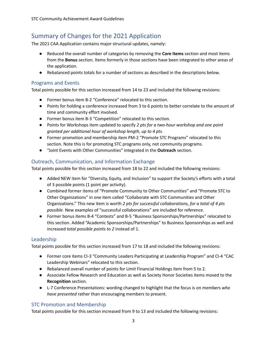# <span id="page-2-0"></span>Summary of Changes for the 2021 Application

The 2021 CAA Application contains major structural updates, namely:

- Reduced the overall number of categories by removing the **Core Items** section and most items from the **Bonus** section. Items formerly in those sections have been integrated to other areas of the application.
- Rebalanced points totals for a number of sections as described in the descriptions below.

## <span id="page-2-1"></span>Programs and Events

Total points possible for this section increased from 14 to 23 and included the following revisions:

- Former bonus item B-2 "Conference" relocated to this section.
- Points for holding a conference increased from 3 to 6 points to better correlate to the amount of time and community effort involved.
- Former bonus item B-3 "Competition" relocated to this section.
- Points for Workshops item updated to specify *2 pts for a two-hour workshop and one point granted per additional hour of workshop length, up to 4 pts*.
- Former promotion and membership item PM-2 "Promote STC Programs" relocated to this section. Note this is for promoting STC programs only, not community programs.
- "Joint Events with Other Communities" integrated in the **Outreach** section.

## <span id="page-2-2"></span>Outreach, Communication, and Information Exchange

Total points possible for this section increased from 18 to 22 and included the following revisions:

- Added NEW item for "Diversity, Equity, and Inclusion" to support the Society's efforts with a total of 3 possible points (1 point per activity).
- Combined former items of "Promote Community to Other Communities" and "Promote STC to Other Organizations" in one item called "Collaborate with STC Communities and Other Organizations." This new item is worth *2 pts for successful collaborations, for a total of 4 pts possible.* New examples of "successful collaborations" are included for reference.
- Former bonus items B-4 "Contests" and B-5 "Business Sponsorships/Partnerships" relocated to this section. Added "Academic Sponsorships/Partnerships" to Business Sponsorships as well and increased *total possible points to 2* instead of 1.

## <span id="page-2-3"></span>Leadership

Total points possible for this section increased from 17 to 18 and included the following revisions:

- Former core items CI-3 "Community Leaders Participating at Leadership Program" and CI-4 "CAC Leadership Webinars" relocated to this section.
- Rebalanced overall number of points for Limit Financial Holdings item from 5 to 2.
- Associate Fellow Research and Education as well as Society Honor Societies items moved to the **Recognition** section.
- L-7 Conference Presentations: wording changed to highlight that the focus is on members *who have presented* rather than encouraging members to present.

## <span id="page-2-4"></span>STC Promotion and Membership

Total points possible for this section increased from 9 to 13 and included the following revisions: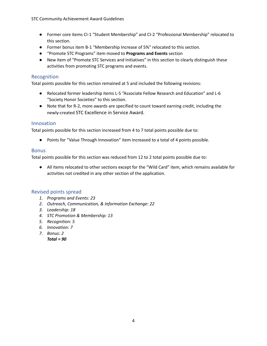- Former core items CI-1 "Student Membership" and CI-2 "Professional Membership" relocated to this section.
- Former bonus item B-1 "Membership Increase of 5%" relocated to this section.
- "Promote STC Programs" item moved to **Programs and Events** section
- New item of "Promote STC Services and Initiatives" in this section to clearly distinguish these activities from promoting STC programs and events.

## <span id="page-3-0"></span>Recognition

Total points possible for this section remained at 5 and included the following revisions:

- Relocated former leadership items L-5 "Associate Fellow Research and Education" and L-6 "Society Honor Societies" to this section.
- Note that for R-2, more awards are specified to count toward earning credit, including the newly-created STC Excellence in Service Award.

## <span id="page-3-1"></span>Innovation

Total points possible for this section increased from 4 to 7 total points possible due to:

● Points for "Value Through Innovation" item increased to a total of 4 points possible.

## <span id="page-3-2"></span>**Bonus**

Total points possible for this section was reduced from 12 to 2 total points possible due to:

● All items relocated to other sections except for the "Wild Card" item, which remains available for activities not credited in any other section of the application.

## <span id="page-3-3"></span>Revised points spread

- *1. Programs and Events: 23*
- *2. Outreach, Communication, & Information Exchange: 22*
- *3. Leadership: 18*
- *4. STC Promotion & Membership: 13*
- *5. Recognition: 5*
- *6. Innovation: 7*
- *7. Bonus: 2 Total = 90*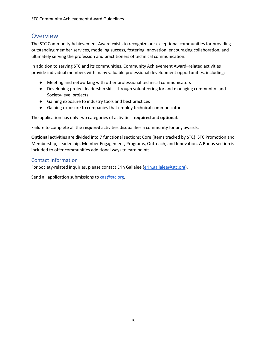## <span id="page-4-0"></span>**Overview**

The STC Community Achievement Award exists to recognize our exceptional communities for providing outstanding member services, modeling success, fostering innovation, encouraging collaboration, and ultimately serving the profession and practitioners of technical communication.

In addition to serving STC and its communities, Community Achievement Award–related activities provide individual members with many valuable professional development opportunities, including:

- Meeting and networking with other professional technical communicators
- Developing project leadership skills through volunteering for and managing community- and Society-level projects
- Gaining exposure to industry tools and best practices
- Gaining exposure to companies that employ technical communicators

The application has only two categories of activities: **required** and **optional**.

Failure to complete all the **required** activities disqualifies a community for any awards.

**Optional** activities are divided into 7 functional sections: Core (items tracked by STC), STC Promotion and Membership, Leadership, Member Engagement, Programs, Outreach, and Innovation. A Bonus section is included to offer communities additional ways to earn points.

#### <span id="page-4-1"></span>Contact Information

For Society-related inquiries, please contact Erin Gallalee ([erin.gallalee@stc.org\)](mailto:erin.gallalee@stc.org).

Send all application submissions to  $caa@stc.org$ .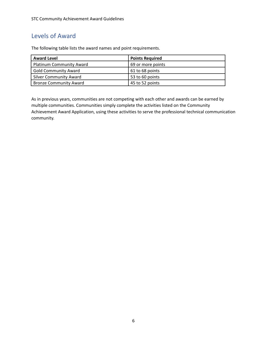## <span id="page-5-0"></span>Levels of Award

The following table lists the award names and point requirements.

| <b>Award Level</b>              | <b>Points Required</b> |
|---------------------------------|------------------------|
| <b>Platinum Community Award</b> | 69 or more points      |
| <b>Gold Community Award</b>     | 61 to 68 points        |
| <b>Silver Community Award</b>   | 53 to 60 points        |
| <b>Bronze Community Award</b>   | 45 to 52 points        |

As in previous years, communities are not competing with each other and awards can be earned by multiple communities. Communities simply complete the activities listed on the Community Achievement Award Application, using these activities to serve the professional technical communication community.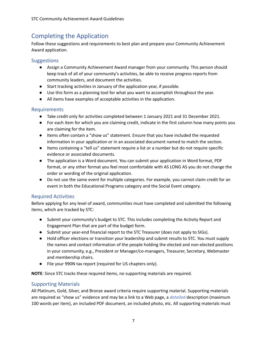# <span id="page-6-0"></span>Completing the Application

Follow these suggestions and requirements to best plan and prepare your Community Achievement Award application.

## <span id="page-6-1"></span>**Suggestions**

- Assign a Community Achievement Award manager from your community. This person should keep track of all of your community's activities, be able to receive progress reports from community leaders, and document the activities.
- Start tracking activities in January of the application year, if possible.
- Use this form as a planning tool for what you want to accomplish throughout the year.
- All items have examples of acceptable activities in the application.

## <span id="page-6-2"></span>Requirements

- Take credit only for activities completed between 1 January 2021 and 31 December 2021.
- For each item for which you are claiming credit, indicate in the first column how many points you are claiming for the item.
- Items often contain a "show us" statement. Ensure that you have included the requested information in your application or in an associated document named to match the section.
- Items containing a "tell us" statement require a list or a number but do not require specific evidence or associated documents.
- The application is a Word document. You can submit your application in Word format, PDF format, or any other format you feel most comfortable with AS LONG AS you do not change the order or wording of the original application.
- Do not use the same event for multiple categories. For example, you cannot claim credit for an event in both the Educational Programs category and the Social Event category.

## <span id="page-6-3"></span>Required Activities

Before applying for any level of award, communities must have completed and submitted the following items, which are tracked by STC:

- Submit your community's budget to STC. This includes completing the Activity Report and Engagement Plan that are part of the budget form.
- Submit your year-end financial report to the STC Treasurer (does not apply to SIGs).
- Hold officer elections or transition your leadership and submit results to STC. You must supply the names and contact information of the people holding the elected and non-elected positions in your community, e.g., President or Manager/co-managers, Treasurer, Secretary, Webmaster and membership chairs.
- File your 990N tax report (required for US chapters only).

**NOTE**: Since STC tracks these required items, no supporting materials are required.

## <span id="page-6-4"></span>Supporting Materials

All Platinum, Gold, Silver, and Bronze award criteria require supporting material. Supporting materials are required as "show us" evidence and may be a link to a Web page, a *detailed* description (maximum 100 words per item), an included PDF document, an included photo, etc. All supporting materials must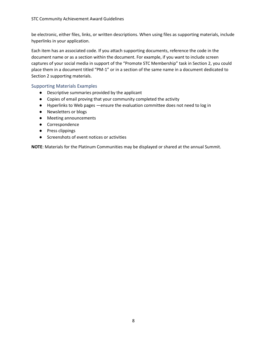be electronic, either files, links, or written descriptions. When using files as supporting materials, include hyperlinks in your application.

Each item has an associated code. If you attach supporting documents, reference the code in the document name or as a section within the document. For example, if you want to include screen captures of your social media in support of the "Promote STC Membership" task in Section 2, you could place them in a document titled "PM-1" or in a section of the same name in a document dedicated to Section 2 supporting materials.

#### <span id="page-7-0"></span>Supporting Materials Examples

- Descriptive summaries provided by the applicant
- Copies of email proving that your community completed the activity
- Hyperlinks to Web pages —ensure the evaluation committee does not need to log in
- Newsletters or blogs
- Meeting announcements
- Correspondence
- Press clippings
- Screenshots of event notices or activities

**NOTE**: Materials for the Platinum Communities may be displayed or shared at the annual Summit.